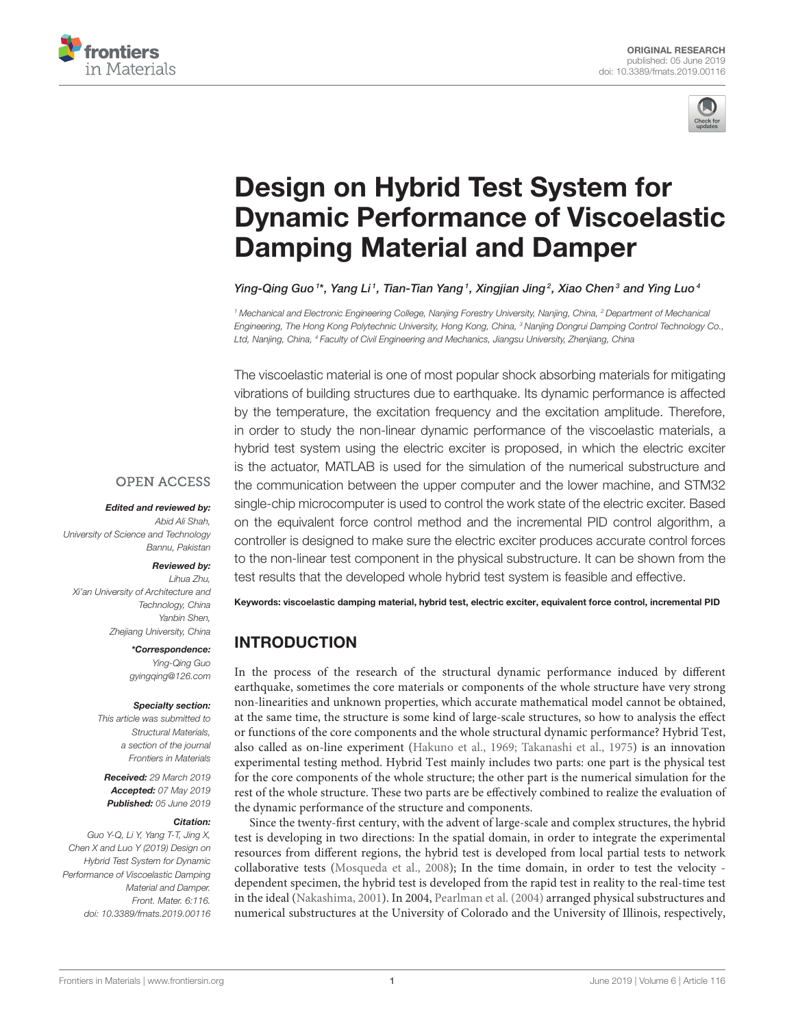



# Design on Hybrid Test System for [Dynamic Performance of Viscoelastic](https://www.frontiersin.org/articles/10.3389/fmats.2019.00116/full) Damping Material and Damper

[Ying-Qing Guo](http://loop.frontiersin.org/people/539385/overview) <sup>1\*</sup>, Yang Li <sup>1</sup>, [Tian-Tian Yang](http://loop.frontiersin.org/people/722216/overview) <sup>1</sup>, [Xingjian Jing](http://loop.frontiersin.org/people/598538/overview) <sup>2</sup>, Xiao Chen <sup>3</sup> and Ying Luo <sup>4</sup>

<sup>1</sup> Mechanical and Electronic Engineering College, Nanjing Forestry University, Nanjing, China, <sup>2</sup> Department of Mechanical Engineering, The Hong Kong Polytechnic University, Hong Kong, China, <sup>3</sup> Nanjing Dongrui Damping Control Technology Co., Ltd, Nanjing, China, <sup>4</sup> Faculty of Civil Engineering and Mechanics, Jiangsu University, Zhenjiang, China

The viscoelastic material is one of most popular shock absorbing materials for mitigating vibrations of building structures due to earthquake. Its dynamic performance is affected by the temperature, the excitation frequency and the excitation amplitude. Therefore, in order to study the non-linear dynamic performance of the viscoelastic materials, a hybrid test system using the electric exciter is proposed, in which the electric exciter is the actuator, MATLAB is used for the simulation of the numerical substructure and the communication between the upper computer and the lower machine, and STM32 single-chip microcomputer is used to control the work state of the electric exciter. Based on the equivalent force control method and the incremental PID control algorithm, a controller is designed to make sure the electric exciter produces accurate control forces to the non-linear test component in the physical substructure. It can be shown from the test results that the developed whole hybrid test system is feasible and effective.

Keywords: viscoelastic damping material, hybrid test, electric exciter, equivalent force control, incremental PID

# INTRODUCTION

In the process of the research of the structural dynamic performance induced by different earthquake, sometimes the core materials or components of the whole structure have very strong non-linearities and unknown properties, which accurate mathematical model cannot be obtained, at the same time, the structure is some kind of large-scale structures, so how to analysis the effect or functions of the core components and the whole structural dynamic performance? Hybrid Test, also called as on-line experiment [\(Hakuno et al., 1969;](#page-7-0) [Takanashi et al., 1975\)](#page-8-0) is an innovation experimental testing method. Hybrid Test mainly includes two parts: one part is the physical test for the core components of the whole structure; the other part is the numerical simulation for the rest of the whole structure. These two parts are be effectively combined to realize the evaluation of the dynamic performance of the structure and components.

Since the twenty-first century, with the advent of large-scale and complex structures, the hybrid test is developing in two directions: In the spatial domain, in order to integrate the experimental resources from different regions, the hybrid test is developed from local partial tests to network collaborative tests [\(Mosqueda et al., 2008\)](#page-7-1); In the time domain, in order to test the velocity dependent specimen, the hybrid test is developed from the rapid test in reality to the real-time test in the ideal [\(Nakashima, 2001\)](#page-7-2). In 2004, [Pearlman et al. \(2004\)](#page-7-3) arranged physical substructures and numerical substructures at the University of Colorado and the University of Illinois, respectively,

## **OPEN ACCESS**

Edited and reviewed by: Abid Ali Shah, University of Science and Technology Bannu, Pakistan

#### Reviewed by:

Lihua Zhu, Xi'an University of Architecture and Technology, China Yanbin Shen, Zhejiang University, China

> \*Correspondence: Ying-Qing Guo [gyingqing@126.com](mailto:gyingqing@126.com)

#### Specialty section:

This article was submitted to Structural Materials, a section of the journal Frontiers in Materials

Received: 29 March 2019 Accepted: 07 May 2019 Published: 05 June 2019

#### Citation:

Guo Y-Q, Li Y, Yang T-T, Jing X, Chen X and Luo Y (2019) Design on Hybrid Test System for Dynamic Performance of Viscoelastic Damping Material and Damper. Front. Mater. 6:116. doi: [10.3389/fmats.2019.00116](https://doi.org/10.3389/fmats.2019.00116)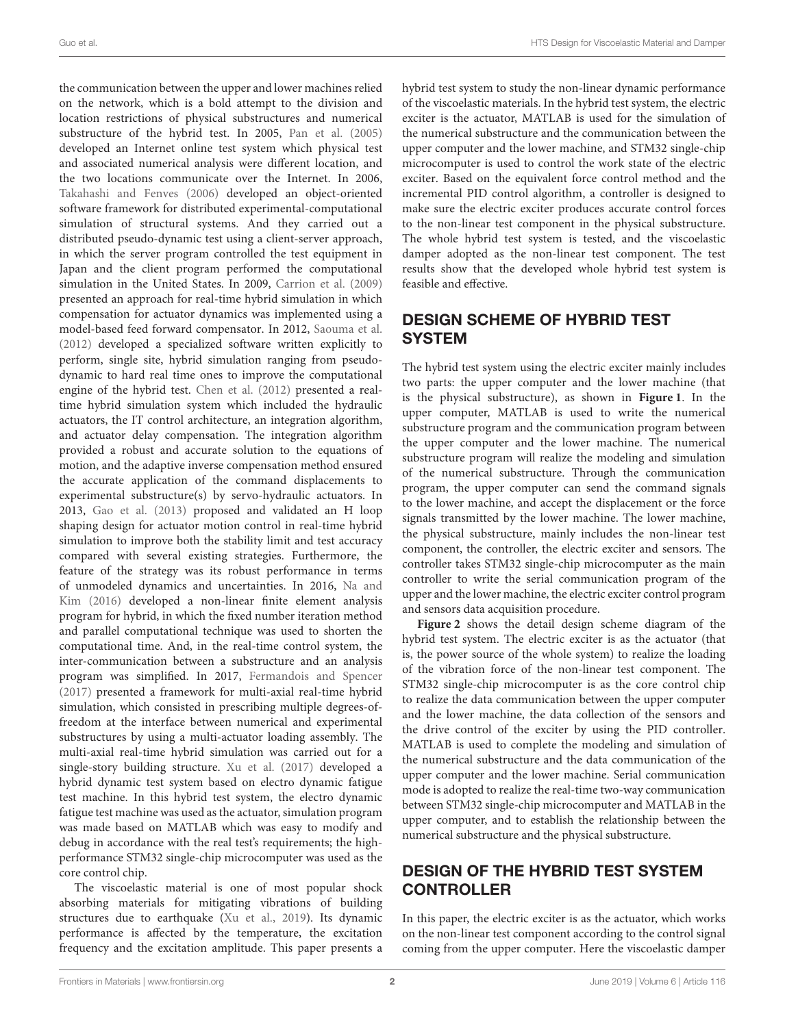the communication between the upper and lower machines relied on the network, which is a bold attempt to the division and location restrictions of physical substructures and numerical substructure of the hybrid test. In 2005, [Pan et al. \(2005\)](#page-7-4) developed an Internet online test system which physical test and associated numerical analysis were different location, and the two locations communicate over the Internet. In 2006, [Takahashi and Fenves \(2006\)](#page-7-5) developed an object-oriented software framework for distributed experimental-computational simulation of structural systems. And they carried out a distributed pseudo-dynamic test using a client-server approach, in which the server program controlled the test equipment in Japan and the client program performed the computational simulation in the United States. In 2009, [Carrion et al. \(2009\)](#page-7-6) presented an approach for real-time hybrid simulation in which compensation for actuator dynamics was implemented using a model-based feed forward compensator. In 2012, [Saouma et al.](#page-7-7) [\(2012\)](#page-7-7) developed a specialized software written explicitly to perform, single site, hybrid simulation ranging from pseudodynamic to hard real time ones to improve the computational engine of the hybrid test. [Chen et al. \(2012\)](#page-7-8) presented a realtime hybrid simulation system which included the hydraulic actuators, the IT control architecture, an integration algorithm, and actuator delay compensation. The integration algorithm provided a robust and accurate solution to the equations of motion, and the adaptive inverse compensation method ensured the accurate application of the command displacements to experimental substructure(s) by servo-hydraulic actuators. In 2013, [Gao et al. \(2013\)](#page-7-9) proposed and validated an H loop shaping design for actuator motion control in real-time hybrid simulation to improve both the stability limit and test accuracy compared with several existing strategies. Furthermore, the feature of the strategy was its robust performance in terms of unmodeled dynamics and uncertainties. In 2016, Na and Kim [\(2016\)](#page-7-10) developed a non-linear finite element analysis program for hybrid, in which the fixed number iteration method and parallel computational technique was used to shorten the computational time. And, in the real-time control system, the inter-communication between a substructure and an analysis program was simplified. In 2017, [Fermandois and Spencer](#page-7-11) [\(2017\)](#page-7-11) presented a framework for multi-axial real-time hybrid simulation, which consisted in prescribing multiple degrees-offreedom at the interface between numerical and experimental substructures by using a multi-actuator loading assembly. The multi-axial real-time hybrid simulation was carried out for a single-story building structure. [Xu et al. \(2017\)](#page-8-1) developed a hybrid dynamic test system based on electro dynamic fatigue test machine. In this hybrid test system, the electro dynamic fatigue test machine was used as the actuator, simulation program was made based on MATLAB which was easy to modify and debug in accordance with the real test's requirements; the highperformance STM32 single-chip microcomputer was used as the core control chip.

The viscoelastic material is one of most popular shock absorbing materials for mitigating vibrations of building structures due to earthquake [\(Xu et al., 2019\)](#page-8-2). Its dynamic performance is affected by the temperature, the excitation frequency and the excitation amplitude. This paper presents a hybrid test system to study the non-linear dynamic performance of the viscoelastic materials. In the hybrid test system, the electric exciter is the actuator, MATLAB is used for the simulation of the numerical substructure and the communication between the upper computer and the lower machine, and STM32 single-chip microcomputer is used to control the work state of the electric exciter. Based on the equivalent force control method and the incremental PID control algorithm, a controller is designed to make sure the electric exciter produces accurate control forces to the non-linear test component in the physical substructure. The whole hybrid test system is tested, and the viscoelastic damper adopted as the non-linear test component. The test results show that the developed whole hybrid test system is feasible and effective.

## DESIGN SCHEME OF HYBRID TEST **SYSTEM**

The hybrid test system using the electric exciter mainly includes two parts: the upper computer and the lower machine (that is the physical substructure), as shown in **[Figure 1](#page-2-0)**. In the upper computer, MATLAB is used to write the numerical substructure program and the communication program between the upper computer and the lower machine. The numerical substructure program will realize the modeling and simulation of the numerical substructure. Through the communication program, the upper computer can send the command signals to the lower machine, and accept the displacement or the force signals transmitted by the lower machine. The lower machine, the physical substructure, mainly includes the non-linear test component, the controller, the electric exciter and sensors. The controller takes STM32 single-chip microcomputer as the main controller to write the serial communication program of the upper and the lower machine, the electric exciter control program and sensors data acquisition procedure.

**[Figure 2](#page-2-1)** shows the detail design scheme diagram of the hybrid test system. The electric exciter is as the actuator (that is, the power source of the whole system) to realize the loading of the vibration force of the non-linear test component. The STM32 single-chip microcomputer is as the core control chip to realize the data communication between the upper computer and the lower machine, the data collection of the sensors and the drive control of the exciter by using the PID controller. MATLAB is used to complete the modeling and simulation of the numerical substructure and the data communication of the upper computer and the lower machine. Serial communication mode is adopted to realize the real-time two-way communication between STM32 single-chip microcomputer and MATLAB in the upper computer, and to establish the relationship between the numerical substructure and the physical substructure.

## DESIGN OF THE HYBRID TEST SYSTEM **CONTROLLER**

In this paper, the electric exciter is as the actuator, which works on the non-linear test component according to the control signal coming from the upper computer. Here the viscoelastic damper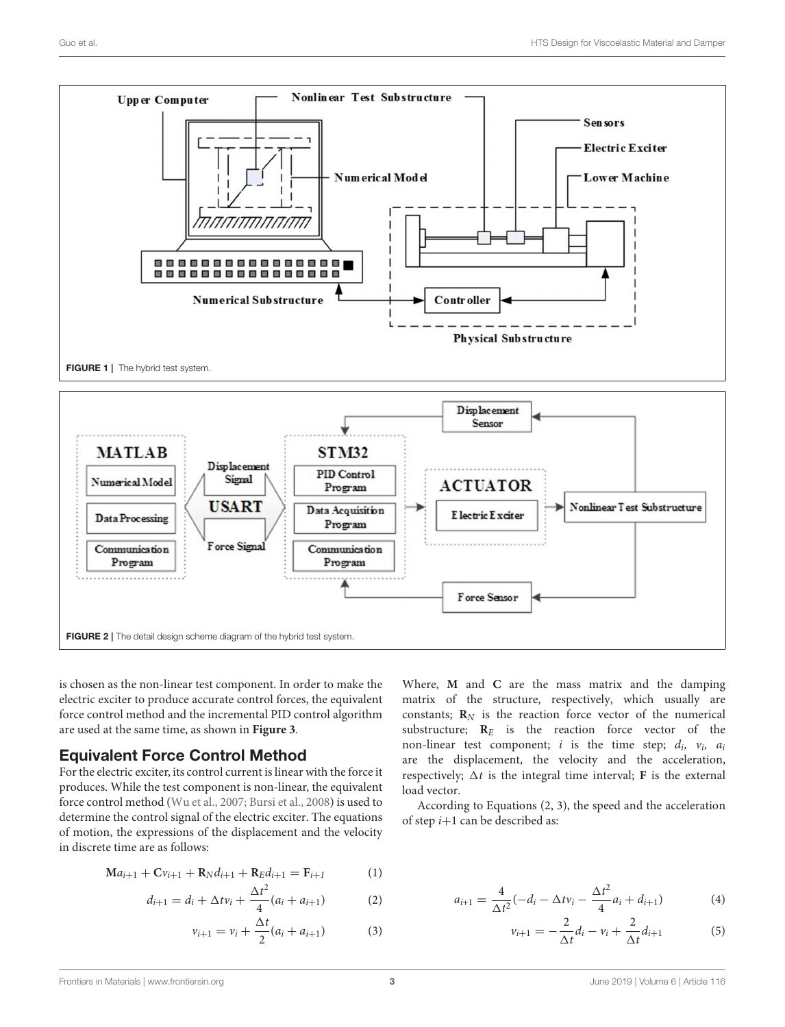

<span id="page-2-0"></span>

<span id="page-2-1"></span>is chosen as the non-linear test component. In order to make the electric exciter to produce accurate control forces, the equivalent force control method and the incremental PID control algorithm are used at the same time, as shown in **[Figure 3](#page-3-0)**.

## Equivalent Force Control Method

For the electric exciter, its control current is linear with the force it produces. While the test component is non-linear, the equivalent force control method [\(Wu et al., 2007;](#page-8-3) [Bursi et al., 2008\)](#page-7-12) is used to determine the control signal of the electric exciter. The equations of motion, the expressions of the displacement and the velocity in discrete time are as follows:

$$
Ma_{i+1} + Cv_{i+1} + R_N d_{i+1} + R_E d_{i+1} = F_{i+1}
$$
 (1)

$$
d_{i+1} = d_i + \Delta t v_i + \frac{\Delta t^2}{4} (a_i + a_{i+1})
$$
 (2)

$$
v_{i+1} = v_i + \frac{\Delta t}{2}(a_i + a_{i+1})
$$
 (3)

Where, **M** and **C** are the mass matrix and the damping matrix of the structure, respectively, which usually are constants;  $\mathbf{R}_N$  is the reaction force vector of the numerical substructure;  $R_E$  is the reaction force vector of the non-linear test component; *i* is the time step;  $d_i$ ,  $v_i$ ,  $a_i$ are the displacement, the velocity and the acceleration, respectively;  $\Delta t$  is the integral time interval; **F** is the external load vector.

According to Equations (2, 3), the speed and the acceleration of step  $i+1$  can be described as:

$$
a_{i+1} = \frac{4}{\Delta t^2}(-d_i - \Delta t v_i - \frac{\Delta t^2}{4}a_i + d_{i+1})
$$
 (4)

$$
v_{i+1} = -\frac{2}{\Delta t}d_i - v_i + \frac{2}{\Delta t}d_{i+1}
$$
 (5)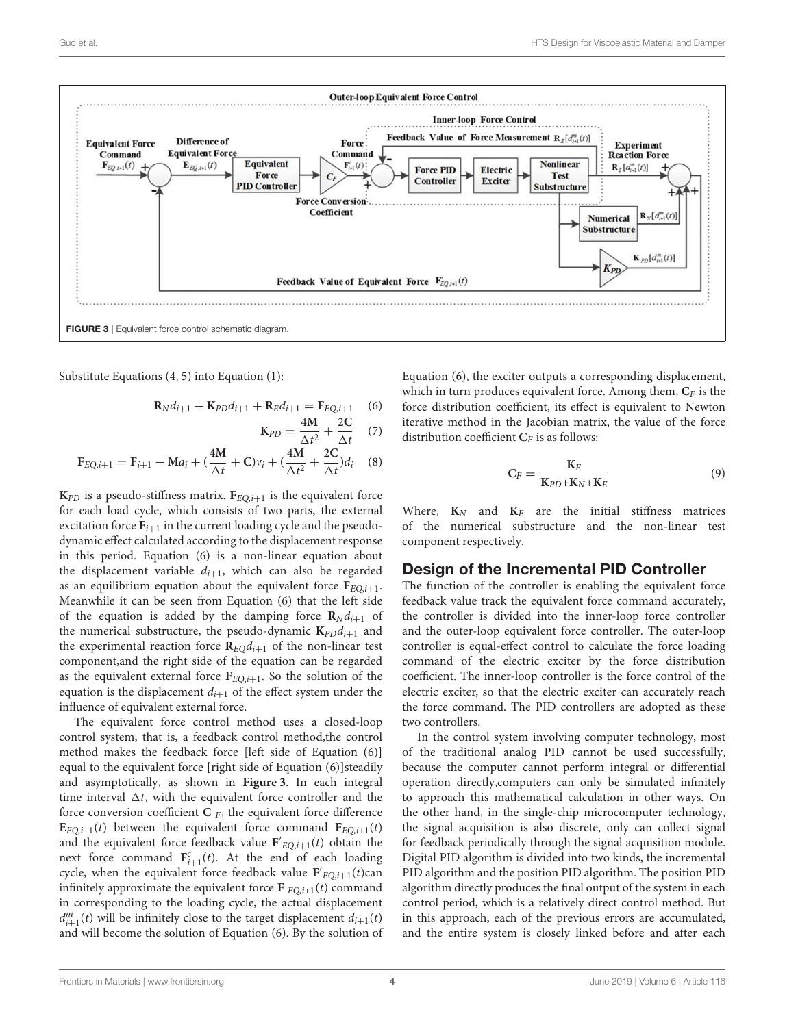

<span id="page-3-0"></span>Substitute Equations (4, 5) into Equation (1):

$$
\mathbf{R}_N d_{i+1} + \mathbf{K}_{PD} d_{i+1} + \mathbf{R}_E d_{i+1} = \mathbf{F}_{EQ,i+1} \quad (6)
$$

$$
\mathbf{K}_{PD} = \frac{4\mathbf{M}}{\Delta t^2} + \frac{2\mathbf{C}}{\Delta t} \quad (7)
$$

$$
\mathbf{F}_{EQ,i+1} = \mathbf{F}_{i+1} + \mathbf{M}a_i + (\frac{4\mathbf{M}}{\Delta t} + \mathbf{C})v_i + (\frac{4\mathbf{M}}{\Delta t^2} + \frac{2\mathbf{C}}{\Delta t})d_i \quad (8)
$$

 $K_{PD}$  is a pseudo-stiffness matrix.  $F_{EO,i+1}$  is the equivalent force for each load cycle, which consists of two parts, the external excitation force  $F_{i+1}$  in the current loading cycle and the pseudodynamic effect calculated according to the displacement response in this period. Equation (6) is a non-linear equation about the displacement variable  $d_{i+1}$ , which can also be regarded as an equilibrium equation about the equivalent force  $\mathbf{F}_{EO,i+1}$ . Meanwhile it can be seen from Equation (6) that the left side of the equation is added by the damping force  $\mathbf{R}_N d_{i+1}$  of the numerical substructure, the pseudo-dynamic  $\mathbf{K}_{PD}d_{i+1}$  and the experimental reaction force  $\mathbf{R}_{EO}d_{i+1}$  of the non-linear test component,and the right side of the equation can be regarded as the equivalent external force  $F_{EQ,i+1}$ . So the solution of the equation is the displacement  $d_{i+1}$  of the effect system under the influence of equivalent external force.

The equivalent force control method uses a closed-loop control system, that is, a feedback control method,the control method makes the feedback force [left side of Equation (6)] equal to the equivalent force [right side of Equation (6)]steadily and asymptotically, as shown in **[Figure 3](#page-3-0)**. In each integral time interval  $\Delta t$ , with the equivalent force controller and the force conversion coefficient  $C$   $_F$ , the equivalent force difference  $\mathbf{E}_{EO,i+1}(t)$  between the equivalent force command  $\mathbf{F}_{EO,i+1}(t)$ and the equivalent force feedback value  $F'_{EQ,i+1}(t)$  obtain the next force command  $\mathbf{F}_{i+1}^c(t)$ . At the end of each loading cycle, when the equivalent force feedback value  $F'_{EQ,i+1}(t)$ can infinitely approximate the equivalent force  $\mathbf{F}_{EO,i+1}(t)$  command in corresponding to the loading cycle, the actual displacement  $d_{i+1}^m(t)$  will be infinitely close to the target displacement  $d_{i+1}(t)$ and will become the solution of Equation (6). By the solution of Equation (6), the exciter outputs a corresponding displacement, which in turn produces equivalent force. Among them,  $C_F$  is the force distribution coefficient, its effect is equivalent to Newton iterative method in the Jacobian matrix, the value of the force distribution coefficient  $C_F$  is as follows:

$$
\mathbf{C}_F = \frac{\mathbf{K}_E}{\mathbf{K}_{PD} + \mathbf{K}_N + \mathbf{K}_E} \tag{9}
$$

Where,  $K_N$  and  $K_E$  are the initial stiffness matrices of the numerical substructure and the non-linear test component respectively.

## Design of the Incremental PID Controller

The function of the controller is enabling the equivalent force feedback value track the equivalent force command accurately, the controller is divided into the inner-loop force controller and the outer-loop equivalent force controller. The outer-loop controller is equal-effect control to calculate the force loading command of the electric exciter by the force distribution coefficient. The inner-loop controller is the force control of the electric exciter, so that the electric exciter can accurately reach the force command. The PID controllers are adopted as these two controllers.

In the control system involving computer technology, most of the traditional analog PID cannot be used successfully, because the computer cannot perform integral or differential operation directly,computers can only be simulated infinitely to approach this mathematical calculation in other ways. On the other hand, in the single-chip microcomputer technology, the signal acquisition is also discrete, only can collect signal for feedback periodically through the signal acquisition module. Digital PID algorithm is divided into two kinds, the incremental PID algorithm and the position PID algorithm. The position PID algorithm directly produces the final output of the system in each control period, which is a relatively direct control method. But in this approach, each of the previous errors are accumulated, and the entire system is closely linked before and after each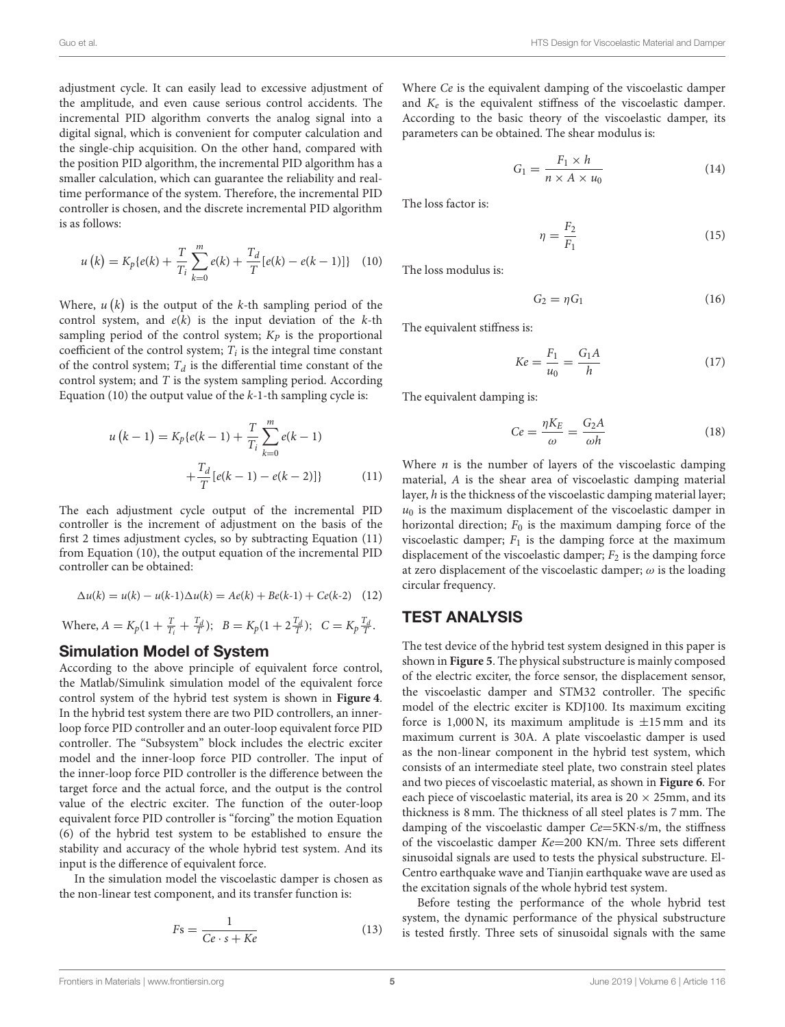adjustment cycle. It can easily lead to excessive adjustment of the amplitude, and even cause serious control accidents. The incremental PID algorithm converts the analog signal into a digital signal, which is convenient for computer calculation and the single-chip acquisition. On the other hand, compared with the position PID algorithm, the incremental PID algorithm has a smaller calculation, which can guarantee the reliability and realtime performance of the system. Therefore, the incremental PID controller is chosen, and the discrete incremental PID algorithm is as follows:

$$
u(k) = K_p\{e(k) + \frac{T}{T_i} \sum_{k=0}^{m} e(k) + \frac{T_d}{T} [e(k) - e(k-1)]\} \quad (10)
$$

Where,  $u(k)$  is the output of the k-th sampling period of the control system, and  $e(k)$  is the input deviation of the  $k$ -th sampling period of the control system;  $K_p$  is the proportional coefficient of the control system;  $T_i$  is the integral time constant of the control system;  $T_d$  is the differential time constant of the control system; and  $T$  is the system sampling period. According Equation (10) the output value of the  $k-1$ -th sampling cycle is:

$$
u(k-1) = K_p\{e(k-1) + \frac{T}{T_i} \sum_{k=0}^{m} e(k-1) + \frac{T_d}{T} [e(k-1) - e(k-2)]\}
$$
 (11)

The each adjustment cycle output of the incremental PID controller is the increment of adjustment on the basis of the first 2 times adjustment cycles, so by subtracting Equation (11) from Equation (10), the output equation of the incremental PID controller can be obtained:

$$
\Delta u(k) = u(k) - u(k-1)\Delta u(k) = Ae(k) + Be(k-1) + Ce(k-2)
$$
 (12)

Where,  $A = K_p(1 + \frac{T}{T_i} + \frac{T_d}{T});$   $B = K_p(1 + 2\frac{T_d}{T});$   $C = K_p \frac{T_d}{T}.$ 

## Simulation Model of System

According to the above principle of equivalent force control, the Matlab/Simulink simulation model of the equivalent force control system of the hybrid test system is shown in **[Figure 4](#page-5-0)**. In the hybrid test system there are two PID controllers, an innerloop force PID controller and an outer-loop equivalent force PID controller. The "Subsystem" block includes the electric exciter model and the inner-loop force PID controller. The input of the inner-loop force PID controller is the difference between the target force and the actual force, and the output is the control value of the electric exciter. The function of the outer-loop equivalent force PID controller is "forcing" the motion Equation (6) of the hybrid test system to be established to ensure the stability and accuracy of the whole hybrid test system. And its input is the difference of equivalent force.

In the simulation model the viscoelastic damper is chosen as the non-linear test component, and its transfer function is:

$$
Fs = \frac{1}{Ce \cdot s + Ke} \tag{13}
$$

Where Ce is the equivalent damping of the viscoelastic damper and  $K_e$  is the equivalent stiffness of the viscoelastic damper. According to the basic theory of the viscoelastic damper, its parameters can be obtained. The shear modulus is:

$$
G_1 = \frac{F_1 \times h}{n \times A \times u_0} \tag{14}
$$

The loss factor is:

$$
\eta = \frac{F_2}{F_1} \tag{15}
$$

The loss modulus is:

$$
G_2 = \eta G_1 \tag{16}
$$

The equivalent stiffness is:

$$
Ke = \frac{F_1}{u_0} = \frac{G_1 A}{h}
$$
 (17)

The equivalent damping is:

$$
Ce = \frac{\eta K_E}{\omega} = \frac{G_2 A}{\omega h}
$$
\n(18)

Where  $n$  is the number of layers of the viscoelastic damping material, A is the shear area of viscoelastic damping material layer, h is the thickness of the viscoelastic damping material layer;  $u_0$  is the maximum displacement of the viscoelastic damper in horizontal direction;  $F_0$  is the maximum damping force of the viscoelastic damper;  $F_1$  is the damping force at the maximum displacement of the viscoelastic damper;  $F_2$  is the damping force at zero displacement of the viscoelastic damper;  $\omega$  is the loading circular frequency.

## TEST ANALYSIS

The test device of the hybrid test system designed in this paper is shown in **[Figure 5](#page-5-1)**. The physical substructure is mainly composed of the electric exciter, the force sensor, the displacement sensor, the viscoelastic damper and STM32 controller. The specific model of the electric exciter is KDJ100. Its maximum exciting force is 1,000 N, its maximum amplitude is  $\pm 15$  mm and its maximum current is 30A. A plate viscoelastic damper is used as the non-linear component in the hybrid test system, which consists of an intermediate steel plate, two constrain steel plates and two pieces of viscoelastic material, as shown in **[Figure 6](#page-6-0)**. For each piece of viscoelastic material, its area is  $20 \times 25$ mm, and its thickness is 8 mm. The thickness of all steel plates is 7 mm. The damping of the viscoelastic damper Ce=5KN·s/m, the stiffness of the viscoelastic damper Ke=200 KN/m. Three sets different sinusoidal signals are used to tests the physical substructure. El-Centro earthquake wave and Tianjin earthquake wave are used as the excitation signals of the whole hybrid test system.

Before testing the performance of the whole hybrid test system, the dynamic performance of the physical substructure is tested firstly. Three sets of sinusoidal signals with the same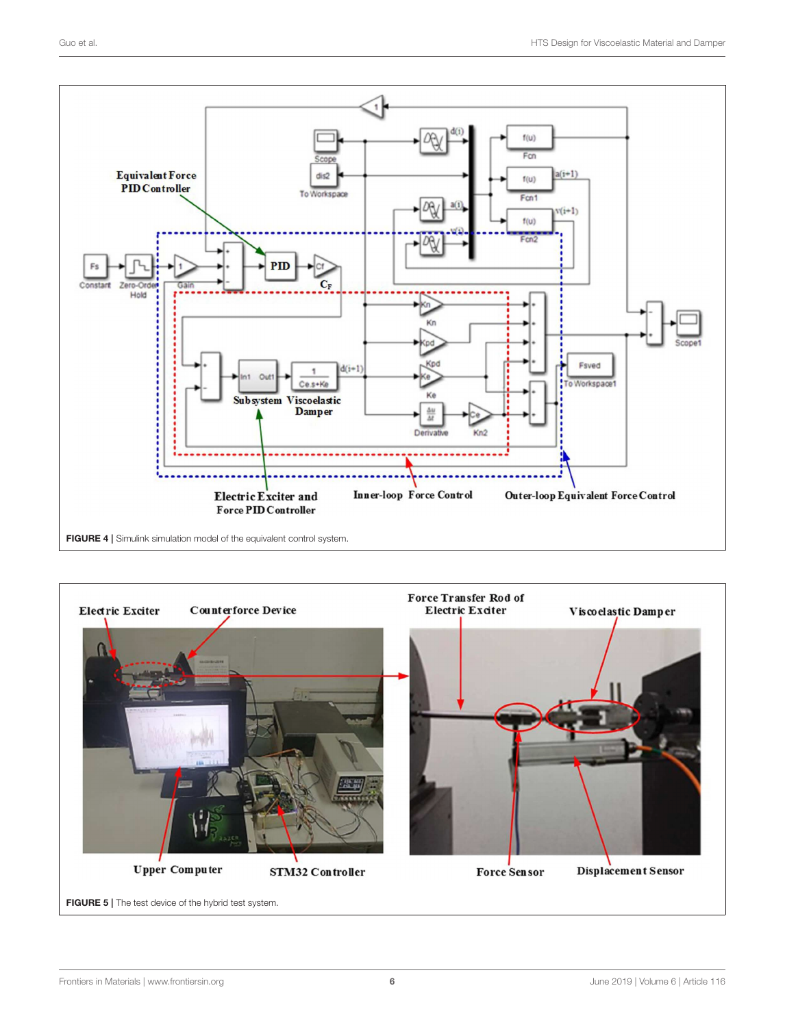

<span id="page-5-0"></span>FIGURE 4 | Simulink simulation model of the equivalent control system.

<span id="page-5-1"></span>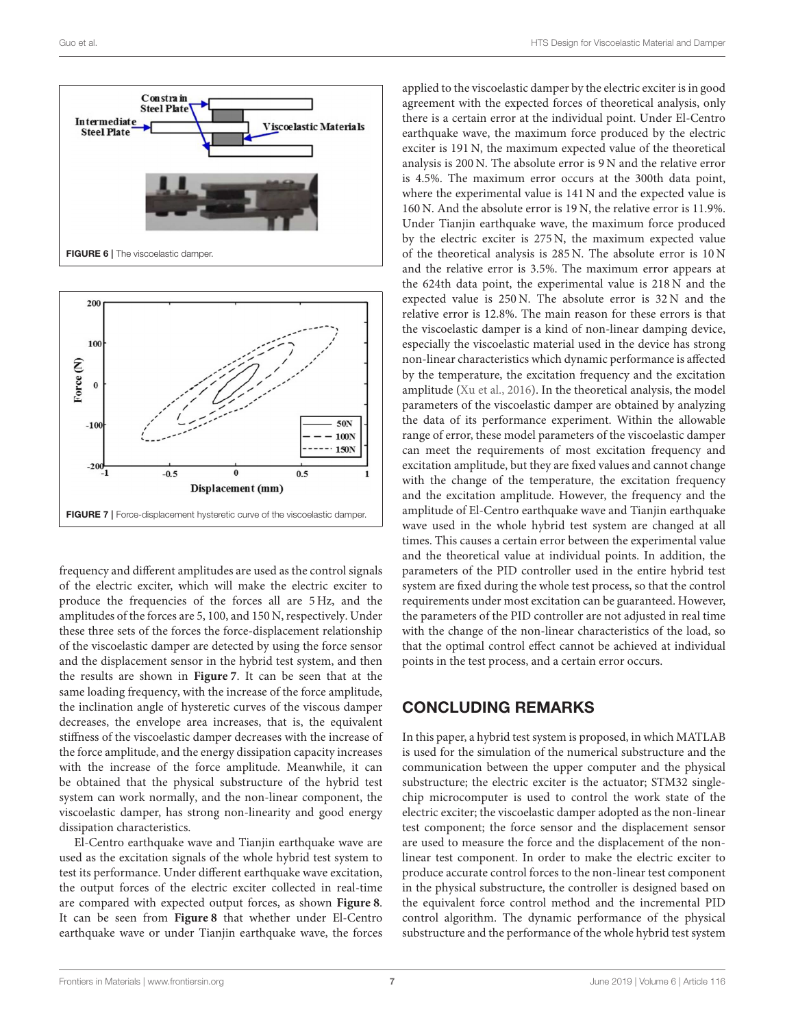

<span id="page-6-0"></span>

<span id="page-6-1"></span>frequency and different amplitudes are used as the control signals of the electric exciter, which will make the electric exciter to produce the frequencies of the forces all are 5 Hz, and the amplitudes of the forces are 5, 100, and 150 N, respectively. Under these three sets of the forces the force-displacement relationship of the viscoelastic damper are detected by using the force sensor and the displacement sensor in the hybrid test system, and then the results are shown in **[Figure 7](#page-6-1)**. It can be seen that at the same loading frequency, with the increase of the force amplitude, the inclination angle of hysteretic curves of the viscous damper decreases, the envelope area increases, that is, the equivalent stiffness of the viscoelastic damper decreases with the increase of the force amplitude, and the energy dissipation capacity increases with the increase of the force amplitude. Meanwhile, it can be obtained that the physical substructure of the hybrid test system can work normally, and the non-linear component, the viscoelastic damper, has strong non-linearity and good energy dissipation characteristics.

El-Centro earthquake wave and Tianjin earthquake wave are used as the excitation signals of the whole hybrid test system to test its performance. Under different earthquake wave excitation, the output forces of the electric exciter collected in real-time are compared with expected output forces, as shown **[Figure 8](#page-7-13)**. It can be seen from **[Figure 8](#page-7-13)** that whether under El-Centro earthquake wave or under Tianjin earthquake wave, the forces

applied to the viscoelastic damper by the electric exciter is in good agreement with the expected forces of theoretical analysis, only there is a certain error at the individual point. Under El-Centro earthquake wave, the maximum force produced by the electric exciter is 191 N, the maximum expected value of the theoretical analysis is 200 N. The absolute error is 9 N and the relative error is 4.5%. The maximum error occurs at the 300th data point, where the experimental value is 141 N and the expected value is 160 N. And the absolute error is 19 N, the relative error is 11.9%. Under Tianjin earthquake wave, the maximum force produced by the electric exciter is 275 N, the maximum expected value of the theoretical analysis is 285 N. The absolute error is 10 N and the relative error is 3.5%. The maximum error appears at the 624th data point, the experimental value is 218 N and the expected value is 250 N. The absolute error is 32 N and the relative error is 12.8%. The main reason for these errors is that the viscoelastic damper is a kind of non-linear damping device, especially the viscoelastic material used in the device has strong non-linear characteristics which dynamic performance is affected by the temperature, the excitation frequency and the excitation amplitude [\(Xu et al., 2016\)](#page-8-4). In the theoretical analysis, the model parameters of the viscoelastic damper are obtained by analyzing the data of its performance experiment. Within the allowable range of error, these model parameters of the viscoelastic damper can meet the requirements of most excitation frequency and excitation amplitude, but they are fixed values and cannot change with the change of the temperature, the excitation frequency and the excitation amplitude. However, the frequency and the amplitude of El-Centro earthquake wave and Tianjin earthquake wave used in the whole hybrid test system are changed at all times. This causes a certain error between the experimental value and the theoretical value at individual points. In addition, the parameters of the PID controller used in the entire hybrid test system are fixed during the whole test process, so that the control requirements under most excitation can be guaranteed. However, the parameters of the PID controller are not adjusted in real time with the change of the non-linear characteristics of the load, so that the optimal control effect cannot be achieved at individual points in the test process, and a certain error occurs.

## CONCLUDING REMARKS

In this paper, a hybrid test system is proposed, in which MATLAB is used for the simulation of the numerical substructure and the communication between the upper computer and the physical substructure; the electric exciter is the actuator; STM32 singlechip microcomputer is used to control the work state of the electric exciter; the viscoelastic damper adopted as the non-linear test component; the force sensor and the displacement sensor are used to measure the force and the displacement of the nonlinear test component. In order to make the electric exciter to produce accurate control forces to the non-linear test component in the physical substructure, the controller is designed based on the equivalent force control method and the incremental PID control algorithm. The dynamic performance of the physical substructure and the performance of the whole hybrid test system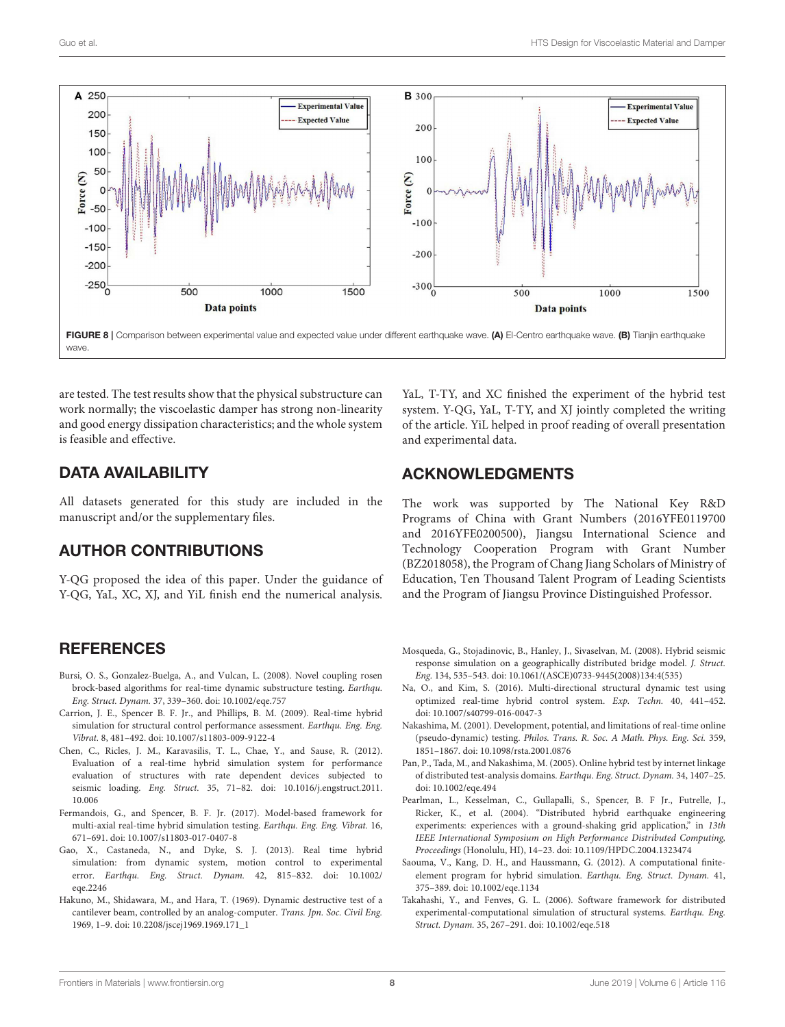

<span id="page-7-13"></span>are tested. The test results show that the physical substructure can work normally; the viscoelastic damper has strong non-linearity and good energy dissipation characteristics; and the whole system is feasible and effective.

## DATA AVAILABILITY

All datasets generated for this study are included in the manuscript and/or the supplementary files.

## AUTHOR CONTRIBUTIONS

Y-QG proposed the idea of this paper. Under the guidance of Y-QG, YaL, XC, XJ, and YiL finish end the numerical analysis.

## **REFERENCES**

- <span id="page-7-12"></span>Bursi, O. S., Gonzalez-Buelga, A., and Vulcan, L. (2008). Novel coupling rosen brock-based algorithms for real-time dynamic substructure testing. Earthqu. Eng. Struct. Dynam. 37, 339–360. doi: [10.1002/eqe.757](https://doi.org/10.1002/eqe.757)
- <span id="page-7-6"></span>Carrion, J. E., Spencer B. F. Jr., and Phillips, B. M. (2009). Real-time hybrid simulation for structural control performance assessment. Earthqu. Eng. Eng. Vibrat. 8, 481–492. doi: [10.1007/s11803-009-9122-4](https://doi.org/10.1007/s11803-009-9122-4)
- <span id="page-7-8"></span>Chen, C., Ricles, J. M., Karavasilis, T. L., Chae, Y., and Sause, R. (2012). Evaluation of a real-time hybrid simulation system for performance evaluation of structures with rate dependent devices subjected to seismic loading. Eng. Struct. [35, 71–82. doi: 10.1016/j.engstruct.2011.](https://doi.org/10.1016/j.engstruct.2011.10.006) 10.006
- <span id="page-7-11"></span>Fermandois, G., and Spencer, B. F. Jr. (2017). Model-based framework for multi-axial real-time hybrid simulation testing. Earthqu. Eng. Eng. Vibrat. 16, 671–691. doi: [10.1007/s11803-017-0407-8](https://doi.org/10.1007/s11803-017-0407-8)
- <span id="page-7-9"></span>Gao, X., Castaneda, N., and Dyke, S. J. (2013). Real time hybrid simulation: from dynamic system, motion control to experimental error. [Earthqu. Eng. Struct. Dynam.](https://doi.org/10.1002/eqe.2246) 42, 815–832. doi: 10.1002/ eqe.2246
- <span id="page-7-0"></span>Hakuno, M., Shidawara, M., and Hara, T. (1969). Dynamic destructive test of a cantilever beam, controlled by an analog-computer. Trans. Jpn. Soc. Civil Eng. 1969, 1–9. doi: [10.2208/jscej1969.1969.171\\_1](https://doi.org/10.2208/jscej1969.1969.171_1)

YaL, T-TY, and XC finished the experiment of the hybrid test system. Y-QG, YaL, T-TY, and XJ jointly completed the writing of the article. YiL helped in proof reading of overall presentation and experimental data.

## ACKNOWLEDGMENTS

The work was supported by The National Key R&D Programs of China with Grant Numbers (2016YFE0119700 and 2016YFE0200500), Jiangsu International Science and Technology Cooperation Program with Grant Number (BZ2018058), the Program of Chang Jiang Scholars of Ministry of Education, Ten Thousand Talent Program of Leading Scientists and the Program of Jiangsu Province Distinguished Professor.

- <span id="page-7-1"></span>Mosqueda, G., Stojadinovic, B., Hanley, J., Sivaselvan, M. (2008). Hybrid seismic response simulation on a geographically distributed bridge model. J. Struct. Eng. 134, 535–543. doi: [10.1061/\(ASCE\)0733-9445\(2008\)134:4\(535\)](https://doi.org/10.1061/(ASCE)0733-9445(2008)134:4(535))
- <span id="page-7-10"></span>Na, O., and Kim, S. (2016). Multi-directional structural dynamic test using optimized real-time hybrid control system. Exp. Techn. 40, 441–452. doi: [10.1007/s40799-016-0047-3](https://doi.org/10.1007/s40799-016-0047-3)
- <span id="page-7-2"></span>Nakashima, M. (2001). Development, potential, and limitations of real-time online (pseudo-dynamic) testing. Philos. Trans. R. Soc. A Math. Phys. Eng. Sci. 359, 1851–1867. doi: [10.1098/rsta.2001.0876](https://doi.org/10.1098/rsta.2001.0876)
- <span id="page-7-4"></span>Pan, P., Tada, M., and Nakashima, M. (2005). Online hybrid test by internet linkage of distributed test-analysis domains. Earthqu. Eng. Struct. Dynam. 34, 1407–25. doi: [10.1002/eqe.494](https://doi.org/10.1002/eqe.494)
- <span id="page-7-3"></span>Pearlman, L., Kesselman, C., Gullapalli, S., Spencer, B. F Jr., Futrelle, J., Ricker, K., et al. (2004). "Distributed hybrid earthquake engineering experiments: experiences with a ground-shaking grid application," in 13th IEEE International Symposium on High Performance Distributed Computing, Proceedings (Honolulu, HI), 14–23. doi: [10.1109/HPDC.2004.1323474](https://doi.org/10.1109/HPDC.2004.1323474)
- <span id="page-7-7"></span>Saouma, V., Kang, D. H., and Haussmann, G. (2012). A computational finiteelement program for hybrid simulation. Earthqu. Eng. Struct. Dynam. 41, 375–389. doi: [10.1002/eqe.1134](https://doi.org/10.1002/eqe.1134)
- <span id="page-7-5"></span>Takahashi, Y., and Fenves, G. L. (2006). Software framework for distributed experimental-computational simulation of structural systems. Earthqu. Eng. Struct. Dynam. 35, 267–291. doi: [10.1002/eqe.518](https://doi.org/10.1002/eqe.518)